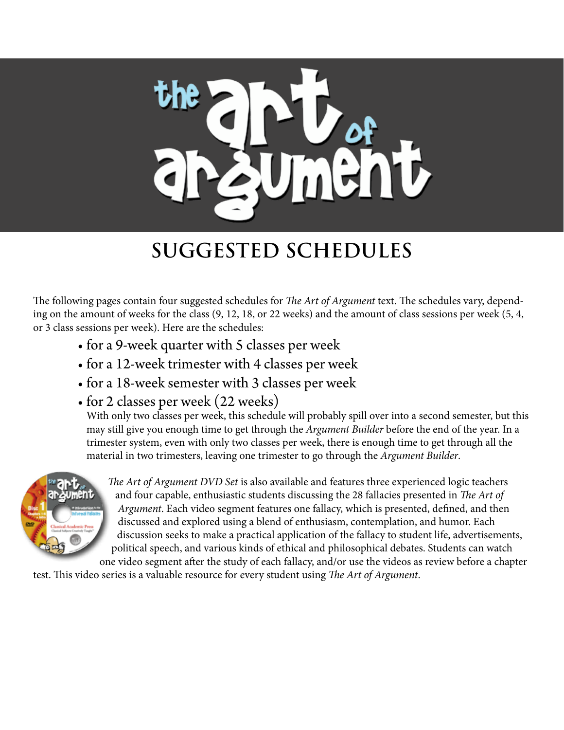

The following pages contain four suggested schedules for *The Art of Argument* text. The schedules vary, depending on the amount of weeks for the class (9, 12, 18, or 22 weeks) and the amount of class sessions per week (5, 4, or 3 class sessions per week). Here are the schedules:

- for a 9-week quarter with 5 classes per week
- for a 12-week trimester with 4 classes per week
- for a 18-week semester with 3 classes per week
- for 2 classes per week (22 weeks)

With only two classes per week, this schedule will probably spill over into a second semester, but this may still give you enough time to get through the *Argument Builder* before the end of the year. In a trimester system, even with only two classes per week, there is enough time to get through all the material in two trimesters, leaving one trimester to go through the *Argument Builder*.



*The Art of Argument DVD Set* is also available and features three experienced logic teachers and four capable, enthusiastic students discussing the 28 fallacies presented in *The Art of Argument*. Each video segment features one fallacy, which is presented, defined, and then discussed and explored using a blend of enthusiasm, contemplation, and humor. Each discussion seeks to make a practical application of the fallacy to student life, advertisements, political speech, and various kinds of ethical and philosophical debates. Students can watch one video segment after the study of each fallacy, and/or use the videos as review before a chapter

test. This video series is a valuable resource for every student using *The Art of Argument*.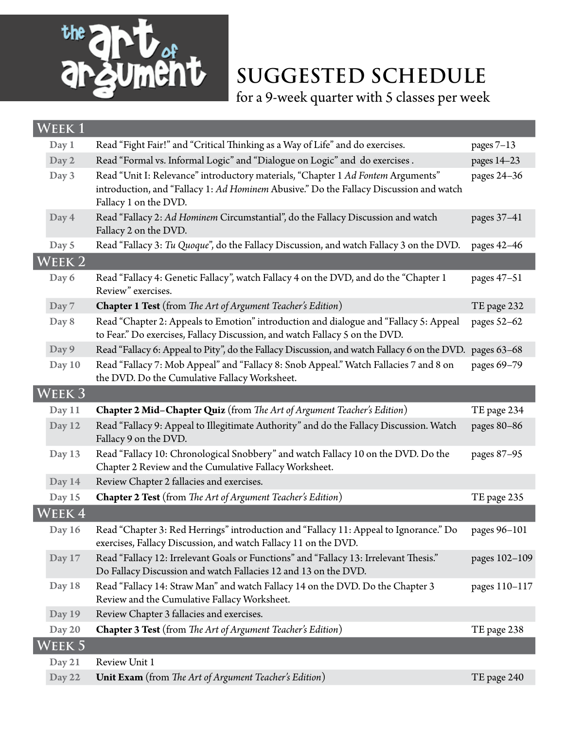

for a 9-week quarter with 5 classes per week

| WEEK1             |                                                                                                                                                                                                     |               |
|-------------------|-----------------------------------------------------------------------------------------------------------------------------------------------------------------------------------------------------|---------------|
| Day 1             | Read "Fight Fair!" and "Critical Thinking as a Way of Life" and do exercises.                                                                                                                       | pages $7-13$  |
| Day 2             | Read "Formal vs. Informal Logic" and "Dialogue on Logic" and do exercises.                                                                                                                          | pages 14-23   |
| Day 3             | Read "Unit I: Relevance" introductory materials, "Chapter 1 Ad Fontem Arguments"<br>introduction, and "Fallacy 1: Ad Hominem Abusive." Do the Fallacy Discussion and watch<br>Fallacy 1 on the DVD. | pages 24-36   |
| Day 4             | Read "Fallacy 2: Ad Hominem Circumstantial", do the Fallacy Discussion and watch<br>Fallacy 2 on the DVD.                                                                                           | pages 37-41   |
| Day 5             | Read "Fallacy 3: Tu Quoque", do the Fallacy Discussion, and watch Fallacy 3 on the DVD.                                                                                                             | pages 42-46   |
| WEEK 2            |                                                                                                                                                                                                     |               |
| Day 6             | Read "Fallacy 4: Genetic Fallacy", watch Fallacy 4 on the DVD, and do the "Chapter 1<br>Review" exercises.                                                                                          | pages 47-51   |
| Day 7             | Chapter 1 Test (from The Art of Argument Teacher's Edition)                                                                                                                                         | TE page 232   |
| Day 8             | Read "Chapter 2: Appeals to Emotion" introduction and dialogue and "Fallacy 5: Appeal<br>to Fear." Do exercises, Fallacy Discussion, and watch Fallacy 5 on the DVD.                                | pages 52-62   |
| Day 9             | Read "Fallacy 6: Appeal to Pity", do the Fallacy Discussion, and watch Fallacy 6 on the DVD.                                                                                                        | pages 63-68   |
| Day 10            | Read "Fallacy 7: Mob Appeal" and "Fallacy 8: Snob Appeal." Watch Fallacies 7 and 8 on<br>the DVD. Do the Cumulative Fallacy Worksheet.                                                              | pages 69-79   |
| WEEK <sub>3</sub> |                                                                                                                                                                                                     |               |
|                   |                                                                                                                                                                                                     |               |
| Day 11            | <b>Chapter 2 Mid-Chapter Quiz</b> (from The Art of Argument Teacher's Edition)                                                                                                                      | TE page 234   |
| Day 12            | Read "Fallacy 9: Appeal to Illegitimate Authority" and do the Fallacy Discussion. Watch<br>Fallacy 9 on the DVD.                                                                                    | pages 80-86   |
| Day 13            | Read "Fallacy 10: Chronological Snobbery" and watch Fallacy 10 on the DVD. Do the<br>Chapter 2 Review and the Cumulative Fallacy Worksheet.                                                         | pages 87-95   |
| Day 14            | Review Chapter 2 fallacies and exercises.                                                                                                                                                           |               |
| Day 15            | <b>Chapter 2 Test</b> (from The Art of Argument Teacher's Edition)                                                                                                                                  | TE page 235   |
| WEEK 4            |                                                                                                                                                                                                     |               |
| Day 16            | Read "Chapter 3: Red Herrings" introduction and "Fallacy 11: Appeal to Ignorance." Do<br>exercises, Fallacy Discussion, and watch Fallacy 11 on the DVD.                                            | pages 96-101  |
| Day 17            | Read "Fallacy 12: Irrelevant Goals or Functions" and "Fallacy 13: Irrelevant Thesis."<br>Do Fallacy Discussion and watch Fallacies 12 and 13 on the DVD.                                            | pages 102-109 |
| Day 18            | Read "Fallacy 14: Straw Man" and watch Fallacy 14 on the DVD. Do the Chapter 3<br>Review and the Cumulative Fallacy Worksheet.                                                                      | pages 110-117 |
| Day 19            | Review Chapter 3 fallacies and exercises.                                                                                                                                                           |               |
| Day 20            | <b>Chapter 3 Test</b> (from The Art of Argument Teacher's Edition)                                                                                                                                  | TE page 238   |
| Week 5            |                                                                                                                                                                                                     |               |
| Day 21            | Review Unit 1                                                                                                                                                                                       |               |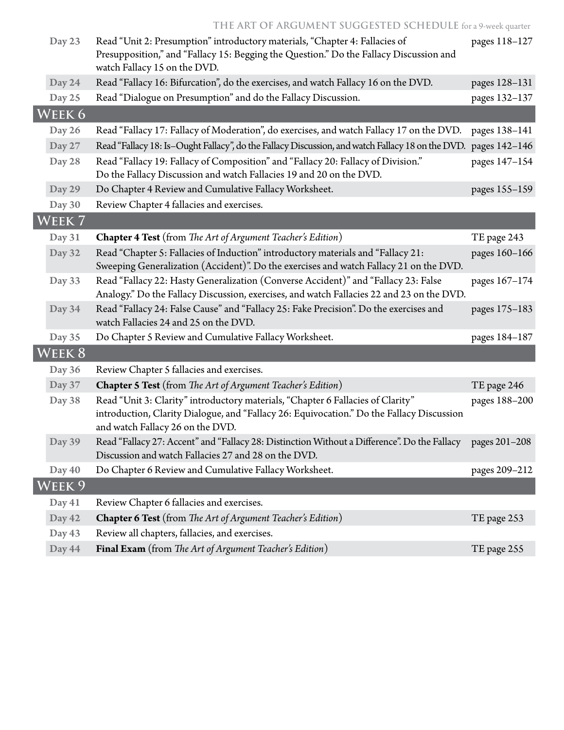| Day 23 | Read "Unit 2: Presumption" introductory materials, "Chapter 4: Fallacies of<br>Presupposition," and "Fallacy 15: Begging the Question." Do the Fallacy Discussion and<br>watch Fallacy 15 on the DVD.            | pages 118-127 |
|--------|------------------------------------------------------------------------------------------------------------------------------------------------------------------------------------------------------------------|---------------|
| Day 24 | Read "Fallacy 16: Bifurcation", do the exercises, and watch Fallacy 16 on the DVD.                                                                                                                               | pages 128-131 |
| Day 25 | Read "Dialogue on Presumption" and do the Fallacy Discussion.                                                                                                                                                    | pages 132-137 |
| WEEK 6 |                                                                                                                                                                                                                  |               |
| Day 26 | Read "Fallacy 17: Fallacy of Moderation", do exercises, and watch Fallacy 17 on the DVD.                                                                                                                         | pages 138-141 |
| Day 27 | Read "Fallacy 18: Is-Ought Fallacy", do the Fallacy Discussion, and watch Fallacy 18 on the DVD. pages 142-146                                                                                                   |               |
| Day 28 | Read "Fallacy 19: Fallacy of Composition" and "Fallacy 20: Fallacy of Division."<br>Do the Fallacy Discussion and watch Fallacies 19 and 20 on the DVD.                                                          | pages 147-154 |
| Day 29 | Do Chapter 4 Review and Cumulative Fallacy Worksheet.                                                                                                                                                            | pages 155-159 |
| Day 30 | Review Chapter 4 fallacies and exercises.                                                                                                                                                                        |               |
| WEEK 7 |                                                                                                                                                                                                                  |               |
| Day 31 | Chapter 4 Test (from The Art of Argument Teacher's Edition)                                                                                                                                                      | TE page 243   |
| Day 32 | Read "Chapter 5: Fallacies of Induction" introductory materials and "Fallacy 21:<br>Sweeping Generalization (Accident)". Do the exercises and watch Fallacy 21 on the DVD.                                       | pages 160-166 |
| Day 33 | Read "Fallacy 22: Hasty Generalization (Converse Accident)" and "Fallacy 23: False<br>Analogy." Do the Fallacy Discussion, exercises, and watch Fallacies 22 and 23 on the DVD.                                  | pages 167-174 |
| Day 34 | Read "Fallacy 24: False Cause" and "Fallacy 25: Fake Precision". Do the exercises and<br>watch Fallacies 24 and 25 on the DVD.                                                                                   | pages 175-183 |
| Day 35 | Do Chapter 5 Review and Cumulative Fallacy Worksheet.                                                                                                                                                            | pages 184-187 |
| WEEK 8 |                                                                                                                                                                                                                  |               |
| Day 36 | Review Chapter 5 fallacies and exercises.                                                                                                                                                                        |               |
| Day 37 | <b>Chapter 5 Test</b> (from The Art of Argument Teacher's Edition)                                                                                                                                               | TE page 246   |
| Day 38 | Read "Unit 3: Clarity" introductory materials, "Chapter 6 Fallacies of Clarity"<br>introduction, Clarity Dialogue, and "Fallacy 26: Equivocation." Do the Fallacy Discussion<br>and watch Fallacy 26 on the DVD. | pages 188-200 |
| Day 39 | Read "Fallacy 27: Accent" and "Fallacy 28: Distinction Without a Difference". Do the Fallacy<br>Discussion and watch Fallacies 27 and 28 on the DVD.                                                             | pages 201-208 |
| Day 40 | Do Chapter 6 Review and Cumulative Fallacy Worksheet.                                                                                                                                                            | pages 209-212 |
| Week 9 |                                                                                                                                                                                                                  |               |
| Day 41 | Review Chapter 6 fallacies and exercises.                                                                                                                                                                        |               |
| Day 42 | <b>Chapter 6 Test</b> (from The Art of Argument Teacher's Edition)                                                                                                                                               | TE page 253   |
| Day 43 | Review all chapters, fallacies, and exercises.                                                                                                                                                                   |               |
| Day 44 | Final Exam (from The Art of Argument Teacher's Edition)                                                                                                                                                          | TE page 255   |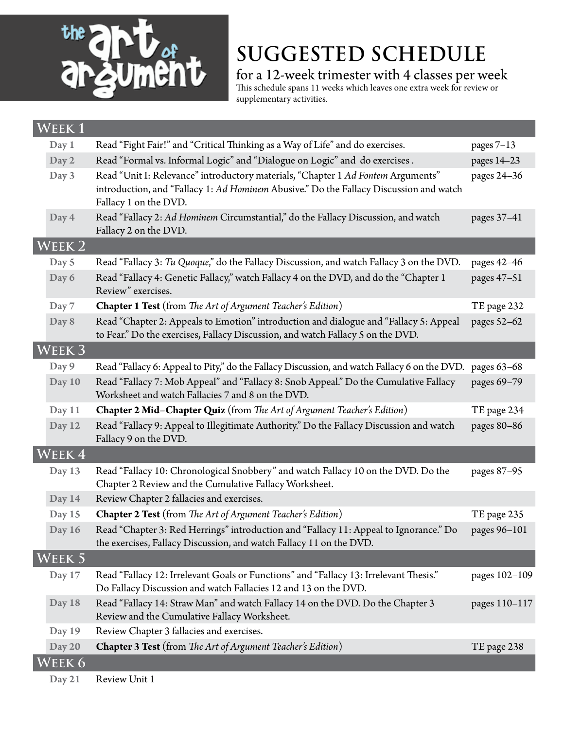

for a 12-week trimester with 4 classes per week This schedule spans 11 weeks which leaves one extra week for review or

**Week 1** Day 1 Read "Fight Fair!" and "Critical Thinking as a Way of Life" and do exercises. pages 7-13 Day 2 Read "Formal vs. Informal Logic" and "Dialogue on Logic" and do exercises . pages 14–23 Day 3 Read "Unit I: Relevance" introductory materials, "Chapter 1 *Ad Fontem* Arguments" introduction, and "Fallacy 1: *Ad Hominem* Abusive." Do the Fallacy Discussion and watch Fallacy 1 on the DVD. pages 24–36 Day 4 Read "Fallacy 2: *Ad Hominem* Circumstantial," do the Fallacy Discussion, and watch Fallacy 2 on the DVD. pages 37–41 **Week 2** Day 5 Read "Fallacy 3: *Tu Quoque*," do the Fallacy Discussion, and watch Fallacy 3 on the DVD. pages 42–46 Day 6 Read "Fallacy 4: Genetic Fallacy," watch Fallacy 4 on the DVD, and do the "Chapter 1 Review" exercises. pages 47–51 Day 7 **Chapter 1 Test** (from *The Art of Argument Teacher's Edition*) TE page 232 Day 8 Read "Chapter 2: Appeals to Emotion" introduction and dialogue and "Fallacy 5: Appeal to Fear." Do the exercises, Fallacy Discussion, and watch Fallacy 5 on the DVD. pages 52–62 **Week 3** Day 9 Read "Fallacy 6: Appeal to Pity," do the Fallacy Discussion, and watch Fallacy 6 on the DVD. pages 63–68 Day 10 Read "Fallacy 7: Mob Appeal" and "Fallacy 8: Snob Appeal." Do the Cumulative Fallacy Worksheet and watch Fallacies 7 and 8 on the DVD. pages 69–79 Day 11 **Chapter 2 Mid–Chapter Quiz** (from *The Art of Argument Teacher's Edition*) TE page 234 Day 12 Read "Fallacy 9: Appeal to Illegitimate Authority." Do the Fallacy Discussion and watch Fallacy 9 on the DVD. pages 80–86 **Week 4** Day 13 Read "Fallacy 10: Chronological Snobbery" and watch Fallacy 10 on the DVD. Do the Chapter 2 Review and the Cumulative Fallacy Worksheet. pages 87–95 Day 14 Review Chapter 2 fallacies and exercises. Day 15 **Chapter 2 Test** (from *The Art of Argument Teacher's Edition*) TE page 235 Day 16 Read "Chapter 3: Red Herrings" introduction and "Fallacy 11: Appeal to Ignorance." Do the exercises, Fallacy Discussion, and watch Fallacy 11 on the DVD. pages 96–101 **Week 5** Day 17 Read "Fallacy 12: Irrelevant Goals or Functions" and "Fallacy 13: Irrelevant Thesis." Do Fallacy Discussion and watch Fallacies 12 and 13 on the DVD. pages 102–109 Day 18 Read "Fallacy 14: Straw Man" and watch Fallacy 14 on the DVD. Do the Chapter 3 Review and the Cumulative Fallacy Worksheet. pages 110–117 Day 19 Review Chapter 3 fallacies and exercises. Day 20 **Chapter 3 Test** (from *The Art of Argument Teacher's Edition*) TE page 238 **Week 6**

supplementary activities.

Day 21 Review Unit 1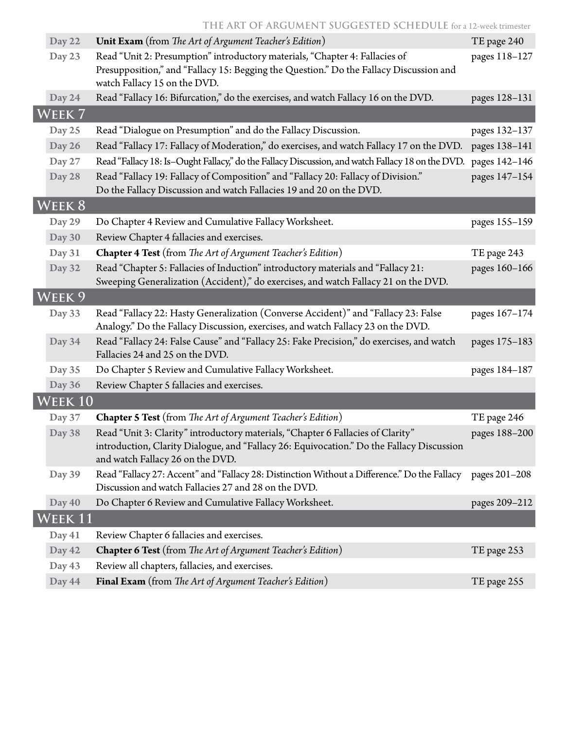**The Art of Argument Suggested Schedule** for a 12-week trimester

| Day 22                      | <b>Unit Exam</b> (from The Art of Argument Teacher's Edition)                                                                                                                                                    | TE page 240   |
|-----------------------------|------------------------------------------------------------------------------------------------------------------------------------------------------------------------------------------------------------------|---------------|
| Day 23                      | Read "Unit 2: Presumption" introductory materials, "Chapter 4: Fallacies of<br>Presupposition," and "Fallacy 15: Begging the Question." Do the Fallacy Discussion and<br>watch Fallacy 15 on the DVD.            | pages 118-127 |
| Day 24                      | Read "Fallacy 16: Bifurcation," do the exercises, and watch Fallacy 16 on the DVD.                                                                                                                               | pages 128-131 |
| WEEK <sub>7</sub>           |                                                                                                                                                                                                                  |               |
| Day 25                      | Read "Dialogue on Presumption" and do the Fallacy Discussion.                                                                                                                                                    | pages 132-137 |
| Day 26                      | Read "Fallacy 17: Fallacy of Moderation," do exercises, and watch Fallacy 17 on the DVD.                                                                                                                         | pages 138-141 |
| Day 27                      | Read "Fallacy 18: Is-Ought Fallacy," do the Fallacy Discussion, and watch Fallacy 18 on the DVD.                                                                                                                 | pages 142-146 |
| Day 28                      | Read "Fallacy 19: Fallacy of Composition" and "Fallacy 20: Fallacy of Division."<br>Do the Fallacy Discussion and watch Fallacies 19 and 20 on the DVD.                                                          | pages 147-154 |
| WEEK 8                      |                                                                                                                                                                                                                  |               |
| Day 29                      | Do Chapter 4 Review and Cumulative Fallacy Worksheet.                                                                                                                                                            | pages 155-159 |
| Day 30                      | Review Chapter 4 fallacies and exercises.                                                                                                                                                                        |               |
| Day 31                      | Chapter 4 Test (from The Art of Argument Teacher's Edition)                                                                                                                                                      | TE page 243   |
| Day 32                      | Read "Chapter 5: Fallacies of Induction" introductory materials and "Fallacy 21:<br>Sweeping Generalization (Accident)," do exercises, and watch Fallacy 21 on the DVD.                                          | pages 160-166 |
| WEEK <sub>9</sub>           |                                                                                                                                                                                                                  |               |
| Day 33                      | Read "Fallacy 22: Hasty Generalization (Converse Accident)" and "Fallacy 23: False<br>Analogy." Do the Fallacy Discussion, exercises, and watch Fallacy 23 on the DVD.                                           | pages 167-174 |
| Day 34                      | Read "Fallacy 24: False Cause" and "Fallacy 25: Fake Precision," do exercises, and watch<br>Fallacies 24 and 25 on the DVD.                                                                                      | pages 175-183 |
| Day 35                      | Do Chapter 5 Review and Cumulative Fallacy Worksheet.                                                                                                                                                            | pages 184-187 |
| Day 36                      | Review Chapter 5 fallacies and exercises.                                                                                                                                                                        |               |
| $\overline{\text{WEEK 10}}$ |                                                                                                                                                                                                                  |               |
| Day 37                      | Chapter 5 Test (from The Art of Argument Teacher's Edition)                                                                                                                                                      | TE page 246   |
| Day 38                      | Read "Unit 3: Clarity" introductory materials, "Chapter 6 Fallacies of Clarity"<br>introduction, Clarity Dialogue, and "Fallacy 26: Equivocation." Do the Fallacy Discussion<br>and watch Fallacy 26 on the DVD. | pages 188-200 |
| Day 39                      | Read "Fallacy 27: Accent" and "Fallacy 28: Distinction Without a Difference." Do the Fallacy<br>Discussion and watch Fallacies 27 and 28 on the DVD.                                                             | pages 201-208 |
| Day 40                      | Do Chapter 6 Review and Cumulative Fallacy Worksheet.                                                                                                                                                            | pages 209-212 |
| WEEK 11                     |                                                                                                                                                                                                                  |               |
| Day 41                      | Review Chapter 6 fallacies and exercises.                                                                                                                                                                        |               |
| Day 42                      | <b>Chapter 6 Test</b> (from The Art of Argument Teacher's Edition)                                                                                                                                               | TE page 253   |
| Day 43                      | Review all chapters, fallacies, and exercises.                                                                                                                                                                   |               |
| Day 44                      | Final Exam (from The Art of Argument Teacher's Edition)                                                                                                                                                          | TE page 255   |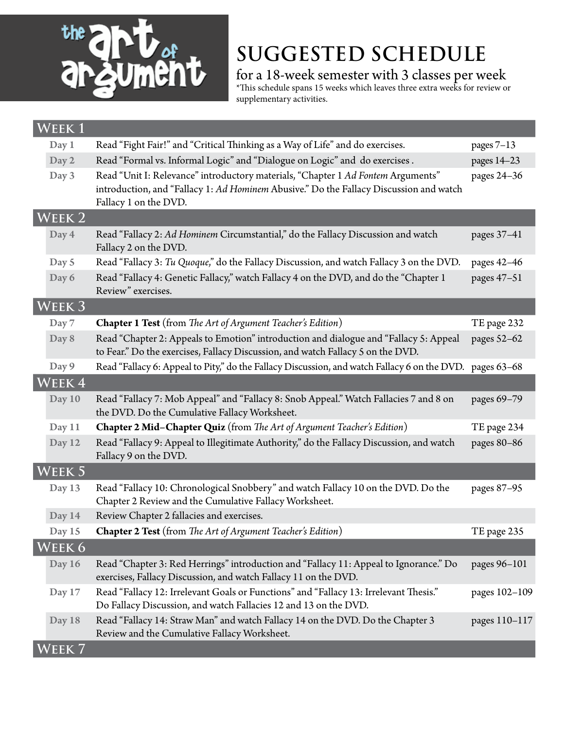

for a 18-week semester with 3 classes per week

\*This schedule spans 15 weeks which leaves three extra weeks for review or supplementary activities.

| <b>WEEK1</b>      |                                                                                                                                                                                                     |               |
|-------------------|-----------------------------------------------------------------------------------------------------------------------------------------------------------------------------------------------------|---------------|
| Day 1             | Read "Fight Fair!" and "Critical Thinking as a Way of Life" and do exercises.                                                                                                                       | pages $7-13$  |
| Day 2             | Read "Formal vs. Informal Logic" and "Dialogue on Logic" and do exercises.                                                                                                                          | pages 14-23   |
| Day 3             | Read "Unit I: Relevance" introductory materials, "Chapter 1 Ad Fontem Arguments"<br>introduction, and "Fallacy 1: Ad Hominem Abusive." Do the Fallacy Discussion and watch<br>Fallacy 1 on the DVD. | pages 24-36   |
| WEEK <sub>2</sub> |                                                                                                                                                                                                     |               |
| Day 4             | Read "Fallacy 2: Ad Hominem Circumstantial," do the Fallacy Discussion and watch<br>Fallacy 2 on the DVD.                                                                                           | pages 37-41   |
| Day 5             | Read "Fallacy 3: Tu Quoque," do the Fallacy Discussion, and watch Fallacy 3 on the DVD.                                                                                                             | pages 42-46   |
| Day 6             | Read "Fallacy 4: Genetic Fallacy," watch Fallacy 4 on the DVD, and do the "Chapter 1<br>Review" exercises.                                                                                          | pages 47-51   |
| WEEK 3            |                                                                                                                                                                                                     |               |
| Day 7             | <b>Chapter 1 Test</b> (from The Art of Argument Teacher's Edition)                                                                                                                                  | TE page 232   |
| Day 8             | Read "Chapter 2: Appeals to Emotion" introduction and dialogue and "Fallacy 5: Appeal<br>to Fear." Do the exercises, Fallacy Discussion, and watch Fallacy 5 on the DVD.                            | pages 52-62   |
| Day 9             | Read "Fallacy 6: Appeal to Pity," do the Fallacy Discussion, and watch Fallacy 6 on the DVD.                                                                                                        | pages 63-68   |
| WEEK4             |                                                                                                                                                                                                     |               |
| Day 10            | Read "Fallacy 7: Mob Appeal" and "Fallacy 8: Snob Appeal." Watch Fallacies 7 and 8 on<br>the DVD. Do the Cumulative Fallacy Worksheet.                                                              | pages 69-79   |
| Day 11            | Chapter 2 Mid-Chapter Quiz (from The Art of Argument Teacher's Edition)                                                                                                                             | TE page 234   |
| Day 12            | Read "Fallacy 9: Appeal to Illegitimate Authority," do the Fallacy Discussion, and watch<br>Fallacy 9 on the DVD.                                                                                   | pages 80-86   |
| WEEK 5            |                                                                                                                                                                                                     |               |
| Day 13            | Read "Fallacy 10: Chronological Snobbery" and watch Fallacy 10 on the DVD. Do the<br>Chapter 2 Review and the Cumulative Fallacy Worksheet.                                                         | pages 87-95   |
| Day 14            | Review Chapter 2 fallacies and exercises.                                                                                                                                                           |               |
| Day 15            | <b>Chapter 2 Test</b> (from The Art of Argument Teacher's Edition)                                                                                                                                  | TE page 235   |
| WEEK 6            |                                                                                                                                                                                                     |               |
| Day 16            | Read "Chapter 3: Red Herrings" introduction and "Fallacy 11: Appeal to Ignorance." Do<br>exercises, Fallacy Discussion, and watch Fallacy 11 on the DVD.                                            | pages 96-101  |
| Day 17            | Read "Fallacy 12: Irrelevant Goals or Functions" and "Fallacy 13: Irrelevant Thesis."<br>Do Fallacy Discussion, and watch Fallacies 12 and 13 on the DVD.                                           | pages 102-109 |
| Day 18            | Read "Fallacy 14: Straw Man" and watch Fallacy 14 on the DVD. Do the Chapter 3<br>Review and the Cumulative Fallacy Worksheet.                                                                      | pages 110-117 |
| EEK <sub>7</sub>  |                                                                                                                                                                                                     |               |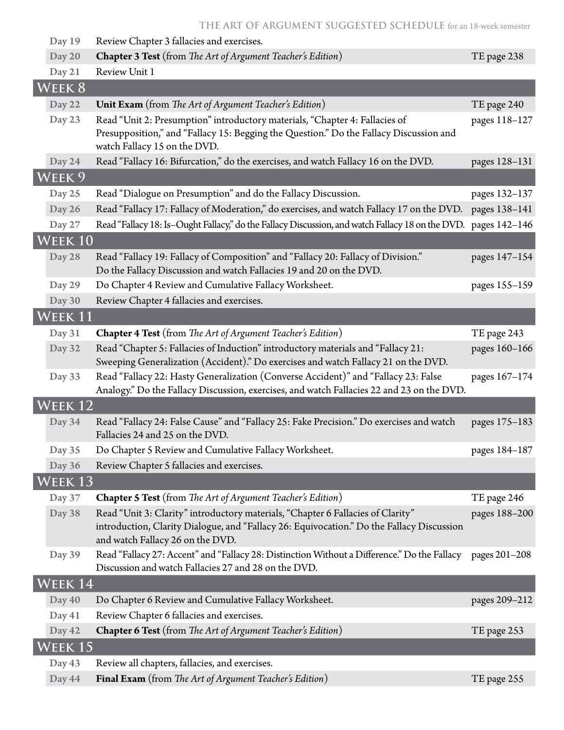| Day 19             | Review Chapter 3 fallacies and exercises.                                                                                                                                                                        |               |
|--------------------|------------------------------------------------------------------------------------------------------------------------------------------------------------------------------------------------------------------|---------------|
| Day 20             | Chapter 3 Test (from The Art of Argument Teacher's Edition)                                                                                                                                                      | TE page 238   |
| Day 21             | Review Unit 1                                                                                                                                                                                                    |               |
| <b>WEEK 8</b>      |                                                                                                                                                                                                                  |               |
| Day 22             | Unit Exam (from The Art of Argument Teacher's Edition)                                                                                                                                                           | TE page 240   |
| Day 23             | Read "Unit 2: Presumption" introductory materials, "Chapter 4: Fallacies of<br>Presupposition," and "Fallacy 15: Begging the Question." Do the Fallacy Discussion and<br>watch Fallacy 15 on the DVD.            | pages 118-127 |
| Day 24             | Read "Fallacy 16: Bifurcation," do the exercises, and watch Fallacy 16 on the DVD.                                                                                                                               | pages 128-131 |
| WEEK <sub>9</sub>  |                                                                                                                                                                                                                  |               |
| Day 25             | Read "Dialogue on Presumption" and do the Fallacy Discussion.                                                                                                                                                    | pages 132-137 |
| Day 26             | Read "Fallacy 17: Fallacy of Moderation," do exercises, and watch Fallacy 17 on the DVD.                                                                                                                         | pages 138-141 |
| Day 27             | Read "Fallacy 18: Is-Ought Fallacy," do the Fallacy Discussion, and watch Fallacy 18 on the DVD. pages 142-146                                                                                                   |               |
| WEEK 10            |                                                                                                                                                                                                                  |               |
| Day 28             | Read "Fallacy 19: Fallacy of Composition" and "Fallacy 20: Fallacy of Division."<br>Do the Fallacy Discussion and watch Fallacies 19 and 20 on the DVD.                                                          | pages 147-154 |
| Day 29             | Do Chapter 4 Review and Cumulative Fallacy Worksheet.                                                                                                                                                            | pages 155-159 |
| Day 30             | Review Chapter 4 fallacies and exercises.                                                                                                                                                                        |               |
| WEEK 11            |                                                                                                                                                                                                                  |               |
| Day 31             | <b>Chapter 4 Test</b> (from The Art of Argument Teacher's Edition)                                                                                                                                               | TE page 243   |
| Day 32             | Read "Chapter 5: Fallacies of Induction" introductory materials and "Fallacy 21:<br>Sweeping Generalization (Accident)." Do exercises and watch Fallacy 21 on the DVD.                                           | pages 160-166 |
| Day 33             | Read "Fallacy 22: Hasty Generalization (Converse Accident)" and "Fallacy 23: False<br>Analogy." Do the Fallacy Discussion, exercises, and watch Fallacies 22 and 23 on the DVD.                                  | pages 167-174 |
| WEEK <sub>12</sub> |                                                                                                                                                                                                                  |               |
| Day 34             | Read "Fallacy 24: False Cause" and "Fallacy 25: Fake Precision." Do exercises and watch<br>Fallacies 24 and 25 on the DVD.                                                                                       | pages 175-183 |
| Day 35             | Do Chapter 5 Review and Cumulative Fallacy Worksheet.                                                                                                                                                            | pages 184-187 |
| Day 36             | Review Chapter 5 fallacies and exercises.                                                                                                                                                                        |               |
| WEEK 13            |                                                                                                                                                                                                                  |               |
| Day 37             | <b>Chapter 5 Test</b> (from The Art of Argument Teacher's Edition)                                                                                                                                               | TE page 246   |
| Day 38             | Read "Unit 3: Clarity" introductory materials, "Chapter 6 Fallacies of Clarity"<br>introduction, Clarity Dialogue, and "Fallacy 26: Equivocation." Do the Fallacy Discussion<br>and watch Fallacy 26 on the DVD. | pages 188-200 |
| Day 39             | Read "Fallacy 27: Accent" and "Fallacy 28: Distinction Without a Difference." Do the Fallacy<br>Discussion and watch Fallacies 27 and 28 on the DVD.                                                             | pages 201-208 |
| WEEK 14            |                                                                                                                                                                                                                  |               |
| Day 40             | Do Chapter 6 Review and Cumulative Fallacy Worksheet.                                                                                                                                                            | pages 209-212 |
| Day 41             | Review Chapter 6 fallacies and exercises.                                                                                                                                                                        |               |
| Day 42             | Chapter 6 Test (from The Art of Argument Teacher's Edition)                                                                                                                                                      | TE page 253   |
| Week 15            |                                                                                                                                                                                                                  |               |
| Day 43             | Review all chapters, fallacies, and exercises.                                                                                                                                                                   |               |
| Day 44             | Final Exam (from The Art of Argument Teacher's Edition)                                                                                                                                                          | TE page 255   |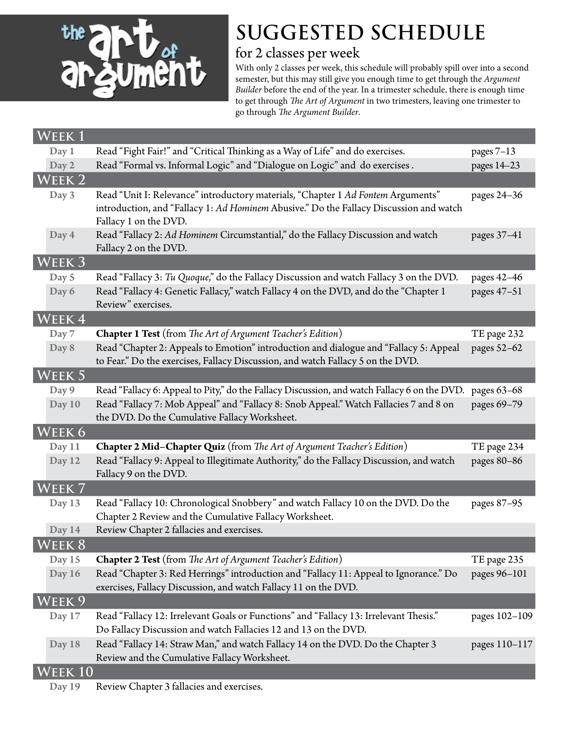

#### for 2 classes per week

With only 2 classes per week, this schedule will probably spill over into a second semester, but this may still give you enough time to get through the *Argument Builder* before the end of the year. In a trimester schedule, there is enough time to get through *The Art of Argument* in two trimesters, leaving one trimester to go through *The Argument Builder*.

| $WEEK\,\overline{1}$ |                                                                                                                                                                                                     |               |
|----------------------|-----------------------------------------------------------------------------------------------------------------------------------------------------------------------------------------------------|---------------|
| Day 1                | Read "Fight Fair!" and "Critical Thinking as a Way of Life" and do exercises.                                                                                                                       | pages $7-13$  |
| Day 2                | Read "Formal vs. Informal Logic" and "Dialogue on Logic" and do exercises.                                                                                                                          | pages 14-23   |
| WEEK 2               |                                                                                                                                                                                                     |               |
| Day 3                | Read "Unit I: Relevance" introductory materials, "Chapter 1 Ad Fontem Arguments"<br>introduction, and "Fallacy 1: Ad Hominem Abusive." Do the Fallacy Discussion and watch<br>Fallacy 1 on the DVD. | pages 24-36   |
| Day 4                | Read "Fallacy 2: Ad Hominem Circumstantial," do the Fallacy Discussion and watch<br>Fallacy 2 on the DVD.                                                                                           | pages 37-41   |
| Week 3               |                                                                                                                                                                                                     |               |
| Day 5                | Read "Fallacy 3: Tu Quoque," do the Fallacy Discussion and watch Fallacy 3 on the DVD.                                                                                                              | pages 42-46   |
| Day 6                | Read "Fallacy 4: Genetic Fallacy," watch Fallacy 4 on the DVD, and do the "Chapter 1<br>Review" exercises.                                                                                          | pages 47-51   |
| WEEK 4               |                                                                                                                                                                                                     |               |
| Day 7                | <b>Chapter 1 Test</b> (from The Art of Argument Teacher's Edition)                                                                                                                                  | TE page 232   |
| Day 8                | Read "Chapter 2: Appeals to Emotion" introduction and dialogue and "Fallacy 5: Appeal<br>to Fear." Do the exercises, Fallacy Discussion, and watch Fallacy 5 on the DVD.                            | pages 52-62   |
| WEEK 5               |                                                                                                                                                                                                     |               |
| Day 9                | Read "Fallacy 6: Appeal to Pity," do the Fallacy Discussion, and watch Fallacy 6 on the DVD.                                                                                                        | pages 63-68   |
| Day 10               | Read "Fallacy 7: Mob Appeal" and "Fallacy 8: Snob Appeal." Watch Fallacies 7 and 8 on<br>the DVD. Do the Cumulative Fallacy Worksheet.                                                              | pages 69-79   |
| WEEK 6               |                                                                                                                                                                                                     |               |
| Day 11               | <b>Chapter 2 Mid-Chapter Quiz</b> (from The Art of Argument Teacher's Edition)                                                                                                                      | TE page 234   |
| Day 12               | Read "Fallacy 9: Appeal to Illegitimate Authority," do the Fallacy Discussion, and watch<br>Fallacy 9 on the DVD.                                                                                   | pages 80-86   |
| Week 7               |                                                                                                                                                                                                     |               |
| Day 13               | Read "Fallacy 10: Chronological Snobbery" and watch Fallacy 10 on the DVD. Do the<br>Chapter 2 Review and the Cumulative Fallacy Worksheet.                                                         | pages 87-95   |
| Day 14               | Review Chapter 2 fallacies and exercises.                                                                                                                                                           |               |
| WEEK 8               |                                                                                                                                                                                                     |               |
| Day 15               | <b>Chapter 2 Test</b> (from The Art of Argument Teacher's Edition)                                                                                                                                  | TE page 235   |
| Day 16               | Read "Chapter 3: Red Herrings" introduction and "Fallacy 11: Appeal to Ignorance." Do<br>exercises, Fallacy Discussion, and watch Fallacy 11 on the DVD.                                            | pages 96-101  |
| WEEK 9               |                                                                                                                                                                                                     |               |
| Day 17               | Read "Fallacy 12: Irrelevant Goals or Functions" and "Fallacy 13: Irrelevant Thesis."<br>Do Fallacy Discussion and watch Fallacies 12 and 13 on the DVD.                                            | pages 102-109 |
| Day 18               | Read "Fallacy 14: Straw Man," and watch Fallacy 14 on the DVD. Do the Chapter 3<br>Review and the Cumulative Fallacy Worksheet.                                                                     | pages 110-117 |
| EEK 10               |                                                                                                                                                                                                     |               |
|                      |                                                                                                                                                                                                     |               |

Day 19 Review Chapter 3 fallacies and exercises.